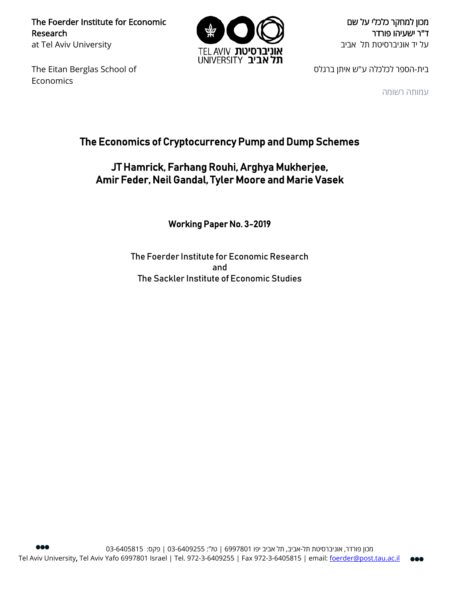The Foerder Institute for Economic Research at Tel Aviv University

The Eitan Berglas School of **Economics** 



מכון למחקר כלכלי על שם ד"ר ישעיהו פורדר על יד אוניברסיטת תל אביב

בית-הספר לכלכלה ע"ש איתן ברגלס

עמותה רשומה

# The Economics of Cryptocurrency Pump and Dump Schemes

## JT Hamrick, Farhang Rouhi, Arghya Mukherjee, Amir Feder, Neil Gandal, Tyler Moore and Marie Vasek

Working Paper No. 3-2019

The Foerder Institute for Economic Research and The Sackler Institute of Economic Studies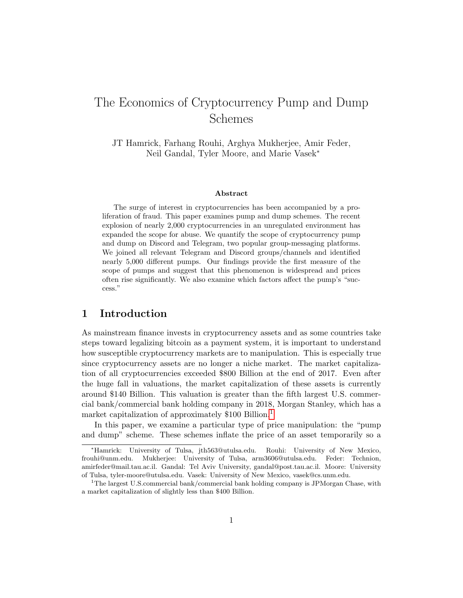# The Economics of Cryptocurrency Pump and Dump Schemes

JT Hamrick, Farhang Rouhi, Arghya Mukherjee, Amir Feder, Neil Gandal, Tyler Moore, and Marie Vasek<sup>∗</sup>

#### Abstract

The surge of interest in cryptocurrencies has been accompanied by a proliferation of fraud. This paper examines pump and dump schemes. The recent explosion of nearly 2,000 cryptocurrencies in an unregulated environment has expanded the scope for abuse. We quantify the scope of cryptocurrency pump and dump on Discord and Telegram, two popular group-messaging platforms. We joined all relevant Telegram and Discord groups/channels and identified nearly 5,000 different pumps. Our findings provide the first measure of the scope of pumps and suggest that this phenomenon is widespread and prices often rise significantly. We also examine which factors affect the pump's "success."

## 1 Introduction

As mainstream finance invests in cryptocurrency assets and as some countries take steps toward legalizing bitcoin as a payment system, it is important to understand how susceptible cryptocurrency markets are to manipulation. This is especially true since cryptocurrency assets are no longer a niche market. The market capitalization of all cryptocurrencies exceeded \$800 Billion at the end of 2017. Even after the huge fall in valuations, the market capitalization of these assets is currently around \$140 Billion. This valuation is greater than the fifth largest U.S. commercial bank/commercial bank holding company in 2018, Morgan Stanley, which has a market capitalization of approximately \$[1](#page-1-0)00 Billion.<sup>1</sup>

In this paper, we examine a particular type of price manipulation: the "pump and dump" scheme. These schemes inflate the price of an asset temporarily so a

<sup>∗</sup>Hamrick: University of Tulsa, jth563@utulsa.edu. Rouhi: University of New Mexico, frouhi@unm.edu. Mukherjee: University of Tulsa, arm3606@utulsa.edu. Feder: Technion, amirfeder@mail.tau.ac.il. Gandal: Tel Aviv University, gandal@post.tau.ac.il. Moore: University of Tulsa, tyler-moore@utulsa.edu. Vasek: University of New Mexico, vasek@cs.unm.edu.

<span id="page-1-0"></span><sup>1</sup>The largest U.S.commercial bank/commercial bank holding company is JPMorgan Chase, with a market capitalization of slightly less than \$400 Billion.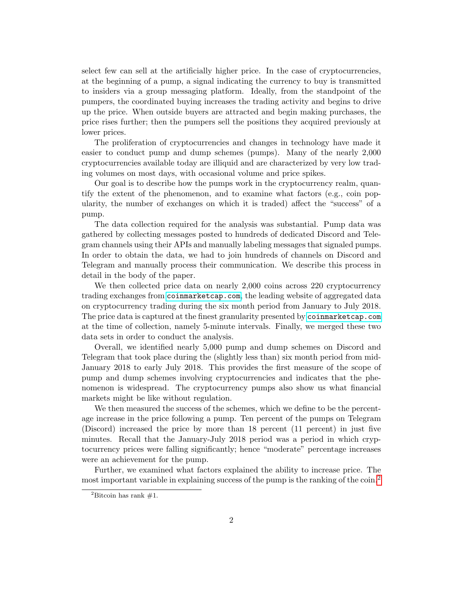select few can sell at the artificially higher price. In the case of cryptocurrencies, at the beginning of a pump, a signal indicating the currency to buy is transmitted to insiders via a group messaging platform. Ideally, from the standpoint of the pumpers, the coordinated buying increases the trading activity and begins to drive up the price. When outside buyers are attracted and begin making purchases, the price rises further; then the pumpers sell the positions they acquired previously at lower prices.

The proliferation of cryptocurrencies and changes in technology have made it easier to conduct pump and dump schemes (pumps). Many of the nearly 2,000 cryptocurrencies available today are illiquid and are characterized by very low trading volumes on most days, with occasional volume and price spikes.

Our goal is to describe how the pumps work in the cryptocurrency realm, quantify the extent of the phenomenon, and to examine what factors (e.g., coin popularity, the number of exchanges on which it is traded) affect the "success" of a pump.

The data collection required for the analysis was substantial. Pump data was gathered by collecting messages posted to hundreds of dedicated Discord and Telegram channels using their APIs and manually labeling messages that signaled pumps. In order to obtain the data, we had to join hundreds of channels on Discord and Telegram and manually process their communication. We describe this process in detail in the body of the paper.

We then collected price data on nearly 2,000 coins across 220 cryptocurrency trading exchanges from <coinmarketcap.com>, the leading website of aggregated data on cryptocurrency trading during the six month period from January to July 2018. The price data is captured at the finest granularity presented by <coinmarketcap.com> at the time of collection, namely 5-minute intervals. Finally, we merged these two data sets in order to conduct the analysis.

Overall, we identified nearly 5,000 pump and dump schemes on Discord and Telegram that took place during the (slightly less than) six month period from mid-January 2018 to early July 2018. This provides the first measure of the scope of pump and dump schemes involving cryptocurrencies and indicates that the phenomenon is widespread. The cryptocurrency pumps also show us what financial markets might be like without regulation.

We then measured the success of the schemes, which we define to be the percentage increase in the price following a pump. Ten percent of the pumps on Telegram (Discord) increased the price by more than 18 percent (11 percent) in just five minutes. Recall that the January-July 2018 period was a period in which cryptocurrency prices were falling significantly; hence "moderate" percentage increases were an achievement for the pump.

Further, we examined what factors explained the ability to increase price. The most important variable in explaining success of the pump is the ranking of the coin.<sup>[2](#page-2-0)</sup>

<span id="page-2-0"></span><sup>&</sup>lt;sup>2</sup>Bitcoin has rank  $#1$ .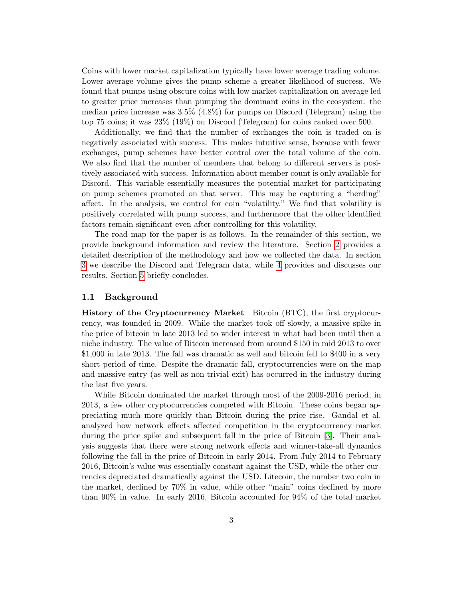Coins with lower market capitalization typically have lower average trading volume. Lower average volume gives the pump scheme a greater likelihood of success. We found that pumps using obscure coins with low market capitalization on average led to greater price increases than pumping the dominant coins in the ecosystem: the median price increase was 3.5% (4.8%) for pumps on Discord (Telegram) using the top 75 coins; it was 23% (19%) on Discord (Telegram) for coins ranked over 500.

Additionally, we find that the number of exchanges the coin is traded on is negatively associated with success. This makes intuitive sense, because with fewer exchanges, pump schemes have better control over the total volume of the coin. We also find that the number of members that belong to different servers is positively associated with success. Information about member count is only available for Discord. This variable essentially measures the potential market for participating on pump schemes promoted on that server. This may be capturing a "herding" affect. In the analysis, we control for coin "volatility." We find that volatility is positively correlated with pump success, and furthermore that the other identified factors remain significant even after controlling for this volatility.

The road map for the paper is as follows. In the remainder of this section, we provide background information and review the literature. Section [2](#page-7-0) provides a detailed description of the methodology and how we collected the data. In section [3](#page-13-0) we describe the Discord and Telegram data, while [4](#page-15-0) provides and discusses our results. Section [5](#page-18-0) briefly concludes.

#### 1.1 Background

History of the Cryptocurrency Market Bitcoin (BTC), the first cryptocurrency, was founded in 2009. While the market took off slowly, a massive spike in the price of bitcoin in late 2013 led to wider interest in what had been until then a niche industry. The value of Bitcoin increased from around \$150 in mid 2013 to over \$1,000 in late 2013. The fall was dramatic as well and bitcoin fell to \$400 in a very short period of time. Despite the dramatic fall, cryptocurrencies were on the map and massive entry (as well as non-trivial exit) has occurred in the industry during the last five years.

While Bitcoin dominated the market through most of the 2009-2016 period, in 2013, a few other cryptocurrencies competed with Bitcoin. These coins began appreciating much more quickly than Bitcoin during the price rise. Gandal et al. analyzed how network effects affected competition in the cryptocurrency market during the price spike and subsequent fall in the price of Bitcoin [\[3\]](#page-20-0). Their analysis suggests that there were strong network effects and winner-take-all dynamics following the fall in the price of Bitcoin in early 2014. From July 2014 to February 2016, Bitcoin's value was essentially constant against the USD, while the other currencies depreciated dramatically against the USD. Litecoin, the number two coin in the market, declined by 70% in value, while other "main" coins declined by more than 90% in value. In early 2016, Bitcoin accounted for 94% of the total market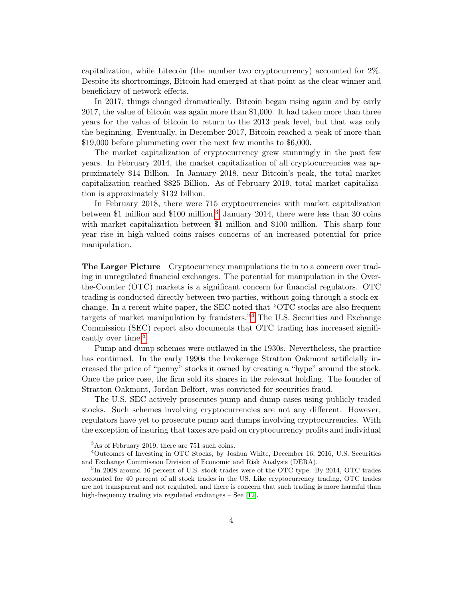capitalization, while Litecoin (the number two cryptocurrency) accounted for 2%. Despite its shortcomings, Bitcoin had emerged at that point as the clear winner and beneficiary of network effects.

In 2017, things changed dramatically. Bitcoin began rising again and by early 2017, the value of bitcoin was again more than \$1,000. It had taken more than three years for the value of bitcoin to return to the 2013 peak level, but that was only the beginning. Eventually, in December 2017, Bitcoin reached a peak of more than \$19,000 before plummeting over the next few months to \$6,000.

The market capitalization of cryptocurrency grew stunningly in the past few years. In February 2014, the market capitalization of all cryptocurrencies was approximately \$14 Billion. In January 2018, near Bitcoin's peak, the total market capitalization reached \$825 Billion. As of February 2019, total market capitalization is approximately \$132 billion.

In February 2018, there were 715 cryptocurrencies with market capitalization between \$1 million and  $$100$  million.<sup>[3](#page-4-0)</sup> January 2014, there were less than 30 coins with market capitalization between \$1 million and \$100 million. This sharp four year rise in high-valued coins raises concerns of an increased potential for price manipulation.

The Larger Picture Cryptocurrency manipulations tie in to a concern over trading in unregulated financial exchanges. The potential for manipulation in the Overthe-Counter (OTC) markets is a significant concern for financial regulators. OTC trading is conducted directly between two parties, without going through a stock exchange. In a recent white paper, the SEC noted that "OTC stocks are also frequent targets of market manipulation by fraudsters."[4](#page-4-1) The U.S. Securities and Exchange Commission (SEC) report also documents that OTC trading has increased signifi-cantly over time.<sup>[5](#page-4-2)</sup>

Pump and dump schemes were outlawed in the 1930s. Nevertheless, the practice has continued. In the early 1990s the brokerage Stratton Oakmont artificially increased the price of "penny" stocks it owned by creating a "hype" around the stock. Once the price rose, the firm sold its shares in the relevant holding. The founder of Stratton Oakmont, Jordan Belfort, was convicted for securities fraud.

The U.S. SEC actively prosecutes pump and dump cases using publicly traded stocks. Such schemes involving cryptocurrencies are not any different. However, regulators have yet to prosecute pump and dumps involving cryptocurrencies. With the exception of insuring that taxes are paid on cryptocurrency profits and individual

<span id="page-4-1"></span><span id="page-4-0"></span><sup>3</sup>As of February 2019, there are 751 such coins.

<sup>4</sup>Outcomes of Investing in OTC Stocks, by Joshua White, December 16, 2016, U.S. Securities and Exchange Commission Division of Economic and Risk Analysis (DERA).

<span id="page-4-2"></span><sup>&</sup>lt;sup>5</sup>In 2008 around 16 percent of U.S. stock trades were of the OTC type. By 2014, OTC trades accounted for 40 percent of all stock trades in the US. Like cryptocurrency trading, OTC trades are not transparent and not regulated, and there is concern that such trading is more harmful than high-frequency trading via regulated exchanges – See [\[12\]](#page-21-0).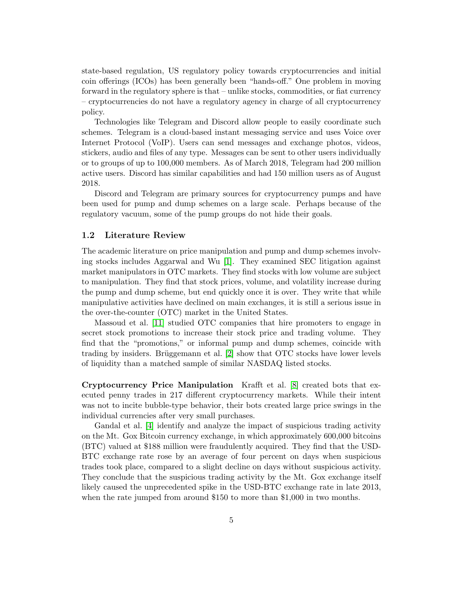state-based regulation, US regulatory policy towards cryptocurrencies and initial coin offerings (ICOs) has been generally been "hands-off." One problem in moving forward in the regulatory sphere is that – unlike stocks, commodities, or fiat currency – cryptocurrencies do not have a regulatory agency in charge of all cryptocurrency policy.

Technologies like Telegram and Discord allow people to easily coordinate such schemes. Telegram is a cloud-based instant messaging service and uses Voice over Internet Protocol (VoIP). Users can send messages and exchange photos, videos, stickers, audio and files of any type. Messages can be sent to other users individually or to groups of up to 100,000 members. As of March 2018, Telegram had 200 million active users. Discord has similar capabilities and had 150 million users as of August 2018.

Discord and Telegram are primary sources for cryptocurrency pumps and have been used for pump and dump schemes on a large scale. Perhaps because of the regulatory vacuum, some of the pump groups do not hide their goals.

#### 1.2 Literature Review

The academic literature on price manipulation and pump and dump schemes involving stocks includes Aggarwal and Wu [\[1\]](#page-20-1). They examined SEC litigation against market manipulators in OTC markets. They find stocks with low volume are subject to manipulation. They find that stock prices, volume, and volatility increase during the pump and dump scheme, but end quickly once it is over. They write that while manipulative activities have declined on main exchanges, it is still a serious issue in the over-the-counter (OTC) market in the United States.

Massoud et al. [\[11\]](#page-21-1) studied OTC companies that hire promoters to engage in secret stock promotions to increase their stock price and trading volume. They find that the "promotions," or informal pump and dump schemes, coincide with trading by insiders. Brüggemann et al.  $[2]$  show that OTC stocks have lower levels of liquidity than a matched sample of similar NASDAQ listed stocks.

Cryptocurrency Price Manipulation Krafft et al. [\[8\]](#page-20-3) created bots that executed penny trades in 217 different cryptocurrency markets. While their intent was not to incite bubble-type behavior, their bots created large price swings in the individual currencies after very small purchases.

Gandal et al. [\[4\]](#page-20-4) identify and analyze the impact of suspicious trading activity on the Mt. Gox Bitcoin currency exchange, in which approximately 600,000 bitcoins (BTC) valued at \$188 million were fraudulently acquired. They find that the USD-BTC exchange rate rose by an average of four percent on days when suspicious trades took place, compared to a slight decline on days without suspicious activity. They conclude that the suspicious trading activity by the Mt. Gox exchange itself likely caused the unprecedented spike in the USD-BTC exchange rate in late 2013, when the rate jumped from around \$150 to more than \$1,000 in two months.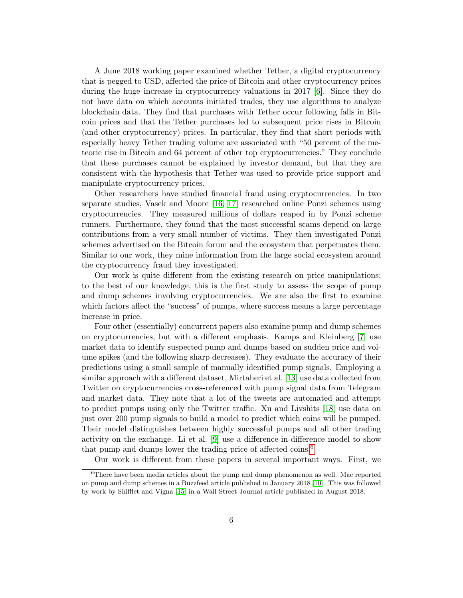A June 2018 working paper examined whether Tether, a digital cryptocurrency that is pegged to USD, affected the price of Bitcoin and other cryptocurrency prices during the huge increase in cryptocurrency valuations in 2017 [\[6\]](#page-20-5). Since they do not have data on which accounts initiated trades, they use algorithms to analyze blockchain data. They find that purchases with Tether occur following falls in Bitcoin prices and that the Tether purchases led to subsequent price rises in Bitcoin (and other cryptocurrency) prices. In particular, they find that short periods with especially heavy Tether trading volume are associated with "50 percent of the meteoric rise in Bitcoin and 64 percent of other top cryptocurrencies." They conclude that these purchases cannot be explained by investor demand, but that they are consistent with the hypothesis that Tether was used to provide price support and manipulate cryptocurrency prices.

Other researchers have studied financial fraud using cryptocurrencies. In two separate studies, Vasek and Moore [\[16,](#page-21-2) [17\]](#page-21-3) researched online Ponzi schemes using cryptocurrencies. They measured millions of dollars reaped in by Ponzi scheme runners. Furthermore, they found that the most successful scams depend on large contributions from a very small number of victims. They then investigated Ponzi schemes advertised on the Bitcoin forum and the ecosystem that perpetuates them. Similar to our work, they mine information from the large social ecosystem around the cryptocurrency fraud they investigated.

Our work is quite different from the existing research on price manipulations; to the best of our knowledge, this is the first study to assess the scope of pump and dump schemes involving cryptocurrencies. We are also the first to examine which factors affect the "success" of pumps, where success means a large percentage increase in price.

Four other (essentially) concurrent papers also examine pump and dump schemes on cryptocurrencies, but with a different emphasis. Kamps and Kleinberg [\[7\]](#page-20-6) use market data to identify suspected pump and dumps based on sudden price and volume spikes (and the following sharp decreases). They evaluate the accuracy of their predictions using a small sample of manually identified pump signals. Employing a similar approach with a different dataset, Mirtaheri et al. [\[13\]](#page-21-4) use data collected from Twitter on cryptocurrencies cross-referenced with pump signal data from Telegram and market data. They note that a lot of the tweets are automated and attempt to predict pumps using only the Twitter traffic. Xu and Livshits [\[18\]](#page-21-5) use data on just over 200 pump signals to build a model to predict which coins will be pumped. Their model distinguishes between highly successful pumps and all other trading activity on the exchange. Li et al. [\[9\]](#page-20-7) use a difference-in-difference model to show that pump and dumps lower the trading price of affected coins.<sup>[6](#page-6-0)</sup>

<span id="page-6-0"></span>Our work is different from these papers in several important ways. First, we

<sup>6</sup>There have been media articles about the pump and dump phenomenon as well. Mac reported on pump and dump schemes in a Buzzfeed article published in January 2018 [\[10\]](#page-21-6). This was followed by work by Shifflet and Vigna [\[15\]](#page-21-7) in a Wall Street Journal article published in August 2018.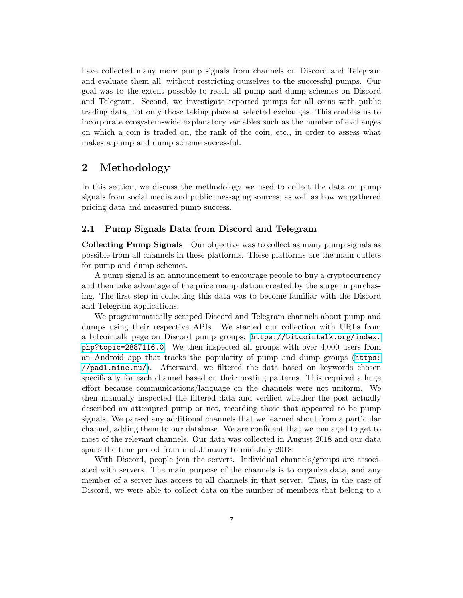have collected many more pump signals from channels on Discord and Telegram and evaluate them all, without restricting ourselves to the successful pumps. Our goal was to the extent possible to reach all pump and dump schemes on Discord and Telegram. Second, we investigate reported pumps for all coins with public trading data, not only those taking place at selected exchanges. This enables us to incorporate ecosystem-wide explanatory variables such as the number of exchanges on which a coin is traded on, the rank of the coin, etc., in order to assess what makes a pump and dump scheme successful.

## <span id="page-7-0"></span>2 Methodology

In this section, we discuss the methodology we used to collect the data on pump signals from social media and public messaging sources, as well as how we gathered pricing data and measured pump success.

#### 2.1 Pump Signals Data from Discord and Telegram

Collecting Pump Signals Our objective was to collect as many pump signals as possible from all channels in these platforms. These platforms are the main outlets for pump and dump schemes.

A pump signal is an announcement to encourage people to buy a cryptocurrency and then take advantage of the price manipulation created by the surge in purchasing. The first step in collecting this data was to become familiar with the Discord and Telegram applications.

We programmatically scraped Discord and Telegram channels about pump and dumps using their respective APIs. We started our collection with URLs from a bitcointalk page on Discord pump groups: [https://bitcointalk.org/index.](https://bitcointalk.org/index.php?topic=2887116.0) [php?topic=2887116.0](https://bitcointalk.org/index.php?topic=2887116.0). We then inspected all groups with over 4,000 users from an Android app that tracks the popularity of pump and dump groups ([https:](https://padl.mine.nu/) [//padl.mine.nu/](https://padl.mine.nu/)). Afterward, we filtered the data based on keywords chosen specifically for each channel based on their posting patterns. This required a huge effort because communications/language on the channels were not uniform. We then manually inspected the filtered data and verified whether the post actually described an attempted pump or not, recording those that appeared to be pump signals. We parsed any additional channels that we learned about from a particular channel, adding them to our database. We are confident that we managed to get to most of the relevant channels. Our data was collected in August 2018 and our data spans the time period from mid-January to mid-July 2018.

With Discord, people join the servers. Individual channels/groups are associated with servers. The main purpose of the channels is to organize data, and any member of a server has access to all channels in that server. Thus, in the case of Discord, we were able to collect data on the number of members that belong to a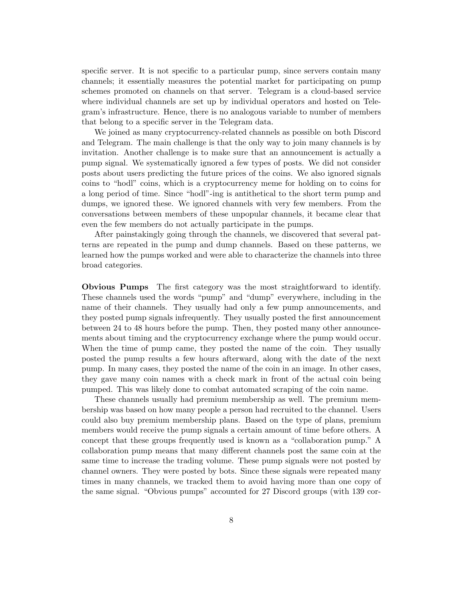specific server. It is not specific to a particular pump, since servers contain many channels; it essentially measures the potential market for participating on pump schemes promoted on channels on that server. Telegram is a cloud-based service where individual channels are set up by individual operators and hosted on Telegram's infrastructure. Hence, there is no analogous variable to number of members that belong to a specific server in the Telegram data.

We joined as many cryptocurrency-related channels as possible on both Discord and Telegram. The main challenge is that the only way to join many channels is by invitation. Another challenge is to make sure that an announcement is actually a pump signal. We systematically ignored a few types of posts. We did not consider posts about users predicting the future prices of the coins. We also ignored signals coins to "hodl" coins, which is a cryptocurrency meme for holding on to coins for a long period of time. Since "hodl"-ing is antithetical to the short term pump and dumps, we ignored these. We ignored channels with very few members. From the conversations between members of these unpopular channels, it became clear that even the few members do not actually participate in the pumps.

After painstakingly going through the channels, we discovered that several patterns are repeated in the pump and dump channels. Based on these patterns, we learned how the pumps worked and were able to characterize the channels into three broad categories.

Obvious Pumps The first category was the most straightforward to identify. These channels used the words "pump" and "dump" everywhere, including in the name of their channels. They usually had only a few pump announcements, and they posted pump signals infrequently. They usually posted the first announcement between 24 to 48 hours before the pump. Then, they posted many other announcements about timing and the cryptocurrency exchange where the pump would occur. When the time of pump came, they posted the name of the coin. They usually posted the pump results a few hours afterward, along with the date of the next pump. In many cases, they posted the name of the coin in an image. In other cases, they gave many coin names with a check mark in front of the actual coin being pumped. This was likely done to combat automated scraping of the coin name.

These channels usually had premium membership as well. The premium membership was based on how many people a person had recruited to the channel. Users could also buy premium membership plans. Based on the type of plans, premium members would receive the pump signals a certain amount of time before others. A concept that these groups frequently used is known as a "collaboration pump." A collaboration pump means that many different channels post the same coin at the same time to increase the trading volume. These pump signals were not posted by channel owners. They were posted by bots. Since these signals were repeated many times in many channels, we tracked them to avoid having more than one copy of the same signal. "Obvious pumps" accounted for 27 Discord groups (with 139 cor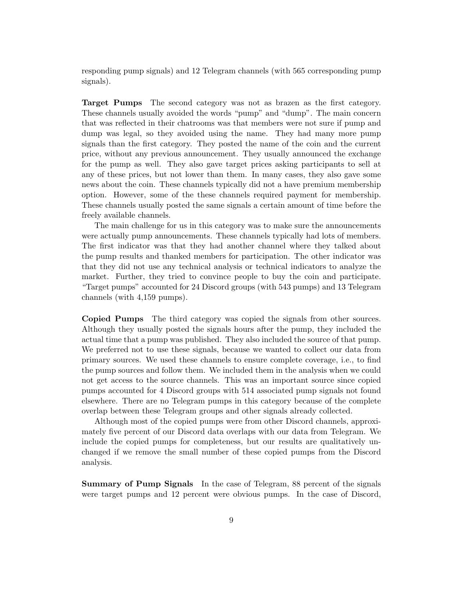responding pump signals) and 12 Telegram channels (with 565 corresponding pump signals).

Target Pumps The second category was not as brazen as the first category. These channels usually avoided the words "pump" and "dump". The main concern that was reflected in their chatrooms was that members were not sure if pump and dump was legal, so they avoided using the name. They had many more pump signals than the first category. They posted the name of the coin and the current price, without any previous announcement. They usually announced the exchange for the pump as well. They also gave target prices asking participants to sell at any of these prices, but not lower than them. In many cases, they also gave some news about the coin. These channels typically did not a have premium membership option. However, some of the these channels required payment for membership. These channels usually posted the same signals a certain amount of time before the freely available channels.

The main challenge for us in this category was to make sure the announcements were actually pump announcements. These channels typically had lots of members. The first indicator was that they had another channel where they talked about the pump results and thanked members for participation. The other indicator was that they did not use any technical analysis or technical indicators to analyze the market. Further, they tried to convince people to buy the coin and participate. "Target pumps" accounted for 24 Discord groups (with 543 pumps) and 13 Telegram channels (with 4,159 pumps).

Copied Pumps The third category was copied the signals from other sources. Although they usually posted the signals hours after the pump, they included the actual time that a pump was published. They also included the source of that pump. We preferred not to use these signals, because we wanted to collect our data from primary sources. We used these channels to ensure complete coverage, i.e., to find the pump sources and follow them. We included them in the analysis when we could not get access to the source channels. This was an important source since copied pumps accounted for 4 Discord groups with 514 associated pump signals not found elsewhere. There are no Telegram pumps in this category because of the complete overlap between these Telegram groups and other signals already collected.

Although most of the copied pumps were from other Discord channels, approximately five percent of our Discord data overlaps with our data from Telegram. We include the copied pumps for completeness, but our results are qualitatively unchanged if we remove the small number of these copied pumps from the Discord analysis.

Summary of Pump Signals In the case of Telegram, 88 percent of the signals were target pumps and 12 percent were obvious pumps. In the case of Discord,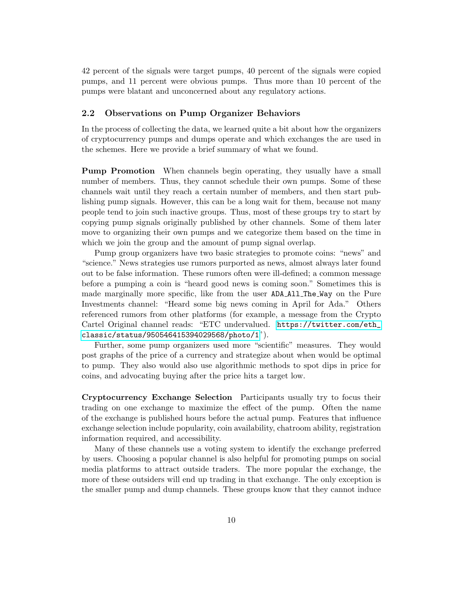42 percent of the signals were target pumps, 40 percent of the signals were copied pumps, and 11 percent were obvious pumps. Thus more than 10 percent of the pumps were blatant and unconcerned about any regulatory actions.

#### 2.2 Observations on Pump Organizer Behaviors

In the process of collecting the data, we learned quite a bit about how the organizers of cryptocurrency pumps and dumps operate and which exchanges the are used in the schemes. Here we provide a brief summary of what we found.

Pump Promotion When channels begin operating, they usually have a small number of members. Thus, they cannot schedule their own pumps. Some of these channels wait until they reach a certain number of members, and then start publishing pump signals. However, this can be a long wait for them, because not many people tend to join such inactive groups. Thus, most of these groups try to start by copying pump signals originally published by other channels. Some of them later move to organizing their own pumps and we categorize them based on the time in which we join the group and the amount of pump signal overlap.

Pump group organizers have two basic strategies to promote coins: "news" and "science." News strategies use rumors purported as news, almost always later found out to be false information. These rumors often were ill-defined; a common message before a pumping a coin is "heard good news is coming soon." Sometimes this is made marginally more specific, like from the user ADA All The Way on the Pure Investments channel: "Heard some big news coming in April for Ada." Others referenced rumors from other platforms (for example, a message from the Crypto Cartel Original channel reads: "ETC undervalued. [https://twitter.com/eth\\_](https://twitter.com/eth_classic/status/950546415394029568/photo/1) [classic/status/950546415394029568/photo/1](https://twitter.com/eth_classic/status/950546415394029568/photo/1)").

Further, some pump organizers used more "scientific" measures. They would post graphs of the price of a currency and strategize about when would be optimal to pump. They also would also use algorithmic methods to spot dips in price for coins, and advocating buying after the price hits a target low.

Cryptocurrency Exchange Selection Participants usually try to focus their trading on one exchange to maximize the effect of the pump. Often the name of the exchange is published hours before the actual pump. Features that influence exchange selection include popularity, coin availability, chatroom ability, registration information required, and accessibility.

Many of these channels use a voting system to identify the exchange preferred by users. Choosing a popular channel is also helpful for promoting pumps on social media platforms to attract outside traders. The more popular the exchange, the more of these outsiders will end up trading in that exchange. The only exception is the smaller pump and dump channels. These groups know that they cannot induce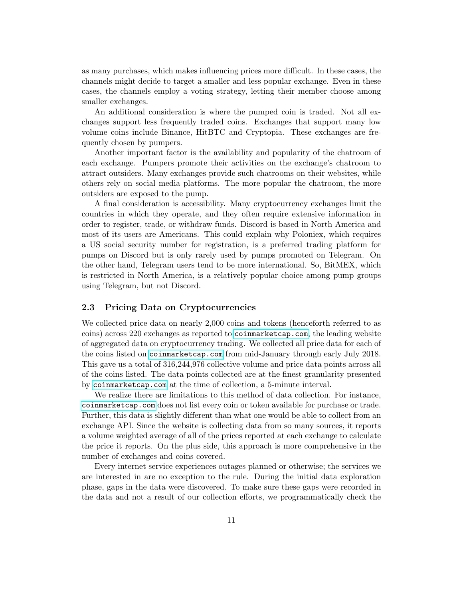as many purchases, which makes influencing prices more difficult. In these cases, the channels might decide to target a smaller and less popular exchange. Even in these cases, the channels employ a voting strategy, letting their member choose among smaller exchanges.

An additional consideration is where the pumped coin is traded. Not all exchanges support less frequently traded coins. Exchanges that support many low volume coins include Binance, HitBTC and Cryptopia. These exchanges are frequently chosen by pumpers.

Another important factor is the availability and popularity of the chatroom of each exchange. Pumpers promote their activities on the exchange's chatroom to attract outsiders. Many exchanges provide such chatrooms on their websites, while others rely on social media platforms. The more popular the chatroom, the more outsiders are exposed to the pump.

A final consideration is accessibility. Many cryptocurrency exchanges limit the countries in which they operate, and they often require extensive information in order to register, trade, or withdraw funds. Discord is based in North America and most of its users are Americans. This could explain why Poloniex, which requires a US social security number for registration, is a preferred trading platform for pumps on Discord but is only rarely used by pumps promoted on Telegram. On the other hand, Telegram users tend to be more international. So, BitMEX, which is restricted in North America, is a relatively popular choice among pump groups using Telegram, but not Discord.

#### 2.3 Pricing Data on Cryptocurrencies

We collected price data on nearly 2,000 coins and tokens (henceforth referred to as coins) across 220 exchanges as reported to <coinmarketcap.com>, the leading website of aggregated data on cryptocurrency trading. We collected all price data for each of the coins listed on <coinmarketcap.com> from mid-January through early July 2018. This gave us a total of 316,244,976 collective volume and price data points across all of the coins listed. The data points collected are at the finest granularity presented by <coinmarketcap.com> at the time of collection, a 5-minute interval.

We realize there are limitations to this method of data collection. For instance, <coinmarketcap.com> does not list every coin or token available for purchase or trade. Further, this data is slightly different than what one would be able to collect from an exchange API. Since the website is collecting data from so many sources, it reports a volume weighted average of all of the prices reported at each exchange to calculate the price it reports. On the plus side, this approach is more comprehensive in the number of exchanges and coins covered.

Every internet service experiences outages planned or otherwise; the services we are interested in are no exception to the rule. During the initial data exploration phase, gaps in the data were discovered. To make sure these gaps were recorded in the data and not a result of our collection efforts, we programmatically check the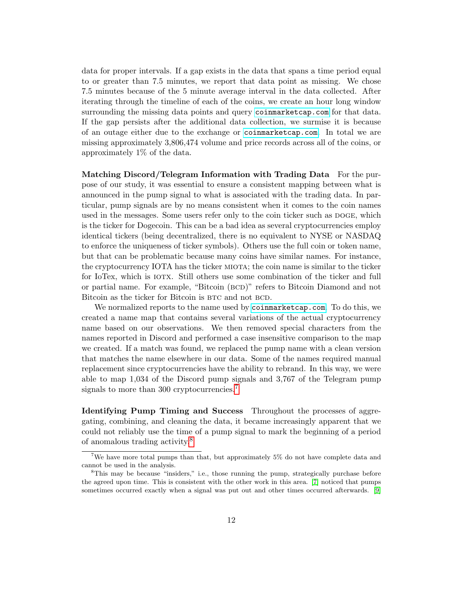data for proper intervals. If a gap exists in the data that spans a time period equal to or greater than 7.5 minutes, we report that data point as missing. We chose 7.5 minutes because of the 5 minute average interval in the data collected. After iterating through the timeline of each of the coins, we create an hour long window surrounding the missing data points and query <coinmarketcap.com> for that data. If the gap persists after the additional data collection, we surmise it is because of an outage either due to the exchange or <coinmarketcap.com>. In total we are missing approximately 3,806,474 volume and price records across all of the coins, or approximately 1% of the data.

Matching Discord/Telegram Information with Trading Data For the purpose of our study, it was essential to ensure a consistent mapping between what is announced in the pump signal to what is associated with the trading data. In particular, pump signals are by no means consistent when it comes to the coin names used in the messages. Some users refer only to the coin ticker such as DOGE, which is the ticker for Dogecoin. This can be a bad idea as several cryptocurrencies employ identical tickers (being decentralized, there is no equivalent to NYSE or NASDAQ to enforce the uniqueness of ticker symbols). Others use the full coin or token name, but that can be problematic because many coins have similar names. For instance, the cryptocurrency IOTA has the ticker MIOTA; the coin name is similar to the ticker for IoTex, which is iotx. Still others use some combination of the ticker and full or partial name. For example, "Bitcoin (BCD)" refers to Bitcoin Diamond and not Bitcoin as the ticker for Bitcoin is BTC and not BCD.

We normalized reports to the name used by <coinmarketcap.com>. To do this, we created a name map that contains several variations of the actual cryptocurrency name based on our observations. We then removed special characters from the names reported in Discord and performed a case insensitive comparison to the map we created. If a match was found, we replaced the pump name with a clean version that matches the name elsewhere in our data. Some of the names required manual replacement since cryptocurrencies have the ability to rebrand. In this way, we were able to map 1,034 of the Discord pump signals and 3,767 of the Telegram pump signals to more than 300 cryptocurrencies.<sup>[7](#page-12-0)</sup>

Identifying Pump Timing and Success Throughout the processes of aggregating, combining, and cleaning the data, it became increasingly apparent that we could not reliably use the time of a pump signal to mark the beginning of a period of anomalous trading activity.[8](#page-12-1)

<span id="page-12-0"></span><sup>7</sup>We have more total pumps than that, but approximately 5% do not have complete data and cannot be used in the analysis.

<span id="page-12-1"></span><sup>8</sup>This may be because "insiders," i.e., those running the pump, strategically purchase before the agreed upon time. This is consistent with the other work in this area. [\[7\]](#page-20-6) noticed that pumps sometimes occurred exactly when a signal was put out and other times occurred afterwards. [\[9\]](#page-20-7)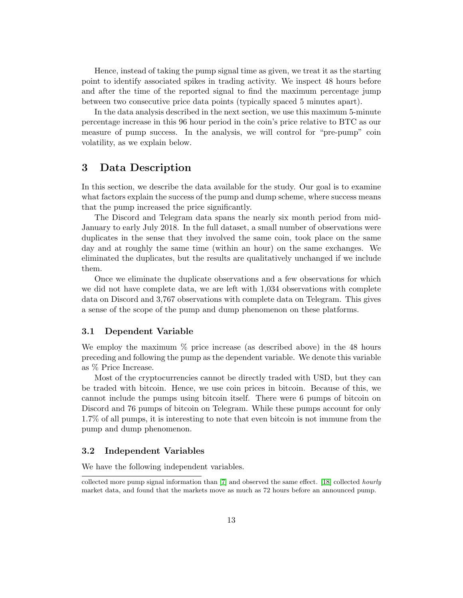Hence, instead of taking the pump signal time as given, we treat it as the starting point to identify associated spikes in trading activity. We inspect 48 hours before and after the time of the reported signal to find the maximum percentage jump between two consecutive price data points (typically spaced 5 minutes apart).

In the data analysis described in the next section, we use this maximum 5-minute percentage increase in this 96 hour period in the coin's price relative to BTC as our measure of pump success. In the analysis, we will control for "pre-pump" coin volatility, as we explain below.

## <span id="page-13-0"></span>3 Data Description

In this section, we describe the data available for the study. Our goal is to examine what factors explain the success of the pump and dump scheme, where success means that the pump increased the price significantly.

The Discord and Telegram data spans the nearly six month period from mid-January to early July 2018. In the full dataset, a small number of observations were duplicates in the sense that they involved the same coin, took place on the same day and at roughly the same time (within an hour) on the same exchanges. We eliminated the duplicates, but the results are qualitatively unchanged if we include them.

Once we eliminate the duplicate observations and a few observations for which we did not have complete data, we are left with 1,034 observations with complete data on Discord and 3,767 observations with complete data on Telegram. This gives a sense of the scope of the pump and dump phenomenon on these platforms.

#### 3.1 Dependent Variable

We employ the maximum % price increase (as described above) in the 48 hours preceding and following the pump as the dependent variable. We denote this variable as % Price Increase.

Most of the cryptocurrencies cannot be directly traded with USD, but they can be traded with bitcoin. Hence, we use coin prices in bitcoin. Because of this, we cannot include the pumps using bitcoin itself. There were 6 pumps of bitcoin on Discord and 76 pumps of bitcoin on Telegram. While these pumps account for only 1.7% of all pumps, it is interesting to note that even bitcoin is not immune from the pump and dump phenomenon.

#### 3.2 Independent Variables

We have the following independent variables.

collected more pump signal information than [\[7\]](#page-20-6) and observed the same effect. [\[18\]](#page-21-5) collected hourly market data, and found that the markets move as much as 72 hours before an announced pump.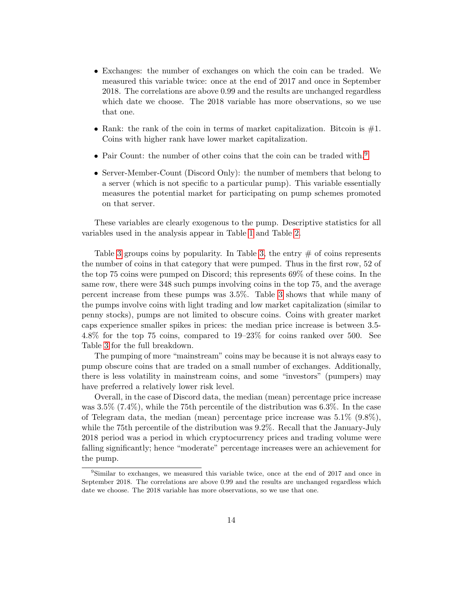- Exchanges: the number of exchanges on which the coin can be traded. We measured this variable twice: once at the end of 2017 and once in September 2018. The correlations are above 0.99 and the results are unchanged regardless which date we choose. The 2018 variable has more observations, so we use that one.
- Rank: the rank of the coin in terms of market capitalization. Bitcoin is  $\#1$ . Coins with higher rank have lower market capitalization.
- Pair Count: the number of other coins that the coin can be traded with.<sup>[9](#page-14-0)</sup>
- Server-Member-Count (Discord Only): the number of members that belong to a server (which is not specific to a particular pump). This variable essentially measures the potential market for participating on pump schemes promoted on that server.

These variables are clearly exogenous to the pump. Descriptive statistics for all variables used in the analysis appear in Table [1](#page-21-8) and Table [2.](#page-22-0)

Table [3](#page-22-1) groups coins by popularity. In Table [3,](#page-22-1) the entry  $\#$  of coins represents the number of coins in that category that were pumped. Thus in the first row, 52 of the top 75 coins were pumped on Discord; this represents 69% of these coins. In the same row, there were 348 such pumps involving coins in the top 75, and the average percent increase from these pumps was 3.5%. Table [3](#page-22-1) shows that while many of the pumps involve coins with light trading and low market capitalization (similar to penny stocks), pumps are not limited to obscure coins. Coins with greater market caps experience smaller spikes in prices: the median price increase is between 3.5- 4.8% for the top 75 coins, compared to 19–23% for coins ranked over 500. See Table [3](#page-22-1) for the full breakdown.

The pumping of more "mainstream" coins may be because it is not always easy to pump obscure coins that are traded on a small number of exchanges. Additionally, there is less volatility in mainstream coins, and some "investors" (pumpers) may have preferred a relatively lower risk level.

Overall, in the case of Discord data, the median (mean) percentage price increase was 3.5% (7.4%), while the 75th percentile of the distribution was 6.3%. In the case of Telegram data, the median (mean) percentage price increase was  $5.1\%$  (9.8%), while the 75th percentile of the distribution was 9.2%. Recall that the January-July 2018 period was a period in which cryptocurrency prices and trading volume were falling significantly; hence "moderate" percentage increases were an achievement for the pump.

<span id="page-14-0"></span><sup>9</sup>Similar to exchanges, we measured this variable twice, once at the end of 2017 and once in September 2018. The correlations are above 0.99 and the results are unchanged regardless which date we choose. The 2018 variable has more observations, so we use that one.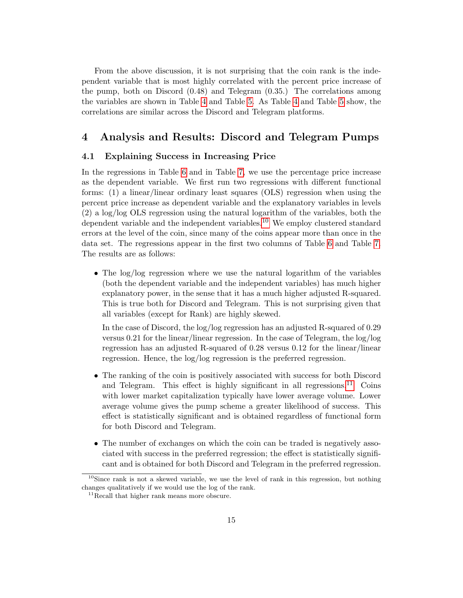From the above discussion, it is not surprising that the coin rank is the independent variable that is most highly correlated with the percent price increase of the pump, both on Discord (0.48) and Telegram (0.35.) The correlations among the variables are shown in Table [4](#page-22-2) and Table [5.](#page-22-3) As Table [4](#page-22-2) and Table [5](#page-22-3) show, the correlations are similar across the Discord and Telegram platforms.

## <span id="page-15-0"></span>4 Analysis and Results: Discord and Telegram Pumps

#### 4.1 Explaining Success in Increasing Price

In the regressions in Table [6](#page-23-0) and in Table [7,](#page-23-1) we use the percentage price increase as the dependent variable. We first run two regressions with different functional forms: (1) a linear/linear ordinary least squares (OLS) regression when using the percent price increase as dependent variable and the explanatory variables in levels (2) a log/log OLS regression using the natural logarithm of the variables, both the dependent variable and the independent variables.<sup>[10](#page-15-1)</sup> We employ clustered standard errors at the level of the coin, since many of the coins appear more than once in the data set. The regressions appear in the first two columns of Table [6](#page-23-0) and Table [7.](#page-23-1) The results are as follows:

• The log/log regression where we use the natural logarithm of the variables (both the dependent variable and the independent variables) has much higher explanatory power, in the sense that it has a much higher adjusted R-squared. This is true both for Discord and Telegram. This is not surprising given that all variables (except for Rank) are highly skewed.

In the case of Discord, the log/log regression has an adjusted R-squared of 0.29 versus 0.21 for the linear/linear regression. In the case of Telegram, the log/log regression has an adjusted R-squared of 0.28 versus 0.12 for the linear/linear regression. Hence, the log/log regression is the preferred regression.

- The ranking of the coin is positively associated with success for both Discord and Telegram. This effect is highly significant in all regressions.<sup>[11](#page-15-2)</sup> Coins with lower market capitalization typically have lower average volume. Lower average volume gives the pump scheme a greater likelihood of success. This effect is statistically significant and is obtained regardless of functional form for both Discord and Telegram.
- The number of exchanges on which the coin can be traded is negatively associated with success in the preferred regression; the effect is statistically significant and is obtained for both Discord and Telegram in the preferred regression.

<span id="page-15-1"></span> $10$ Since rank is not a skewed variable, we use the level of rank in this regression, but nothing changes qualitatively if we would use the log of the rank.

<span id="page-15-2"></span><sup>&</sup>lt;sup>11</sup>Recall that higher rank means more obscure.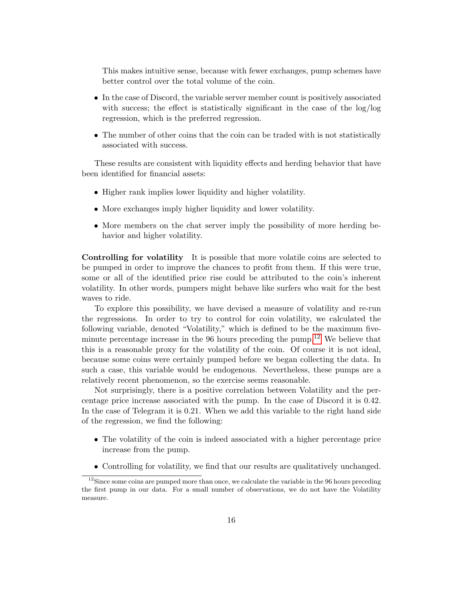This makes intuitive sense, because with fewer exchanges, pump schemes have better control over the total volume of the coin.

- In the case of Discord, the variable server member count is positively associated with success; the effect is statistically significant in the case of the  $log/log$ regression, which is the preferred regression.
- The number of other coins that the coin can be traded with is not statistically associated with success.

These results are consistent with liquidity effects and herding behavior that have been identified for financial assets:

- Higher rank implies lower liquidity and higher volatility.
- More exchanges imply higher liquidity and lower volatility.
- More members on the chat server imply the possibility of more herding behavior and higher volatility.

Controlling for volatility It is possible that more volatile coins are selected to be pumped in order to improve the chances to profit from them. If this were true, some or all of the identified price rise could be attributed to the coin's inherent volatility. In other words, pumpers might behave like surfers who wait for the best waves to ride.

To explore this possibility, we have devised a measure of volatility and re-run the regressions. In order to try to control for coin volatility, we calculated the following variable, denoted "Volatility," which is defined to be the maximum fiveminute percentage increase in the  $96$  hours preceding the pump.<sup>[12](#page-16-0)</sup> We believe that this is a reasonable proxy for the volatility of the coin. Of course it is not ideal, because some coins were certainly pumped before we began collecting the data. In such a case, this variable would be endogenous. Nevertheless, these pumps are a relatively recent phenomenon, so the exercise seems reasonable.

Not surprisingly, there is a positive correlation between Volatility and the percentage price increase associated with the pump. In the case of Discord it is 0.42. In the case of Telegram it is 0.21. When we add this variable to the right hand side of the regression, we find the following:

- The volatility of the coin is indeed associated with a higher percentage price increase from the pump.
- <span id="page-16-0"></span>• Controlling for volatility, we find that our results are qualitatively unchanged.

 $12$ Since some coins are pumped more than once, we calculate the variable in the 96 hours preceding the first pump in our data. For a small number of observations, we do not have the Volatility measure.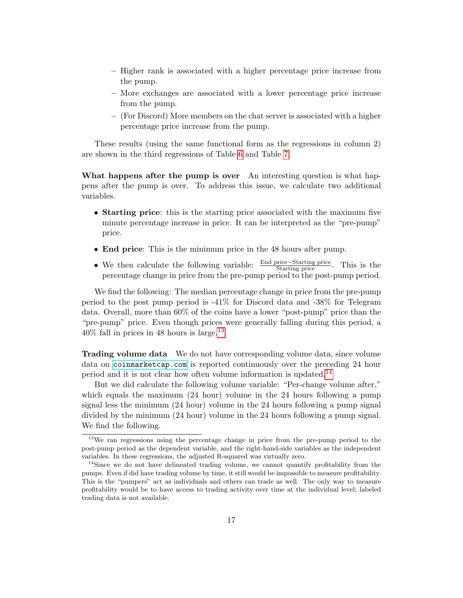- Higher rank is associated with a higher percentage price increase from the pump.
- More exchanges are associated with a lower percentage price increase from the pump.
- (For Discord) More members on the chat server is associated with a higher percentage price increase from the pump.

These results (using the same functional form as the regressions in column 2) are shown in the third regressions of Table [6](#page-23-0) and Table [7.](#page-23-1)

What happens after the pump is over An interesting question is what happens after the pump is over. To address this issue, we calculate two additional variables.

- Starting price: this is the starting price associated with the maximum five minute percentage increase in price. It can be interpreted as the "pre-pump" price.
- End price: This is the minimum price in the 48 hours after pump.
- We then calculate the following variable:  $\frac{\text{End price} \text{Starting price}}{\text{Starting price}}$ . This is the we then calculate the following variable.  $\frac{\text{Starting price}}{\text{Starting price}}$ . This is the percentage change in price from the pre-pump period to the post-pump period.

We find the following: The median percentage change in price from the pre-pump period to the post pump period is -41% for Discord data and -38% for Telegram data. Overall, more than 60% of the coins have a lower "post-pump" price than the "pre-pump" price. Even though prices were generally falling during this period, a  $40\%$  fall in prices in 48 hours is large.<sup>[13](#page-17-0)</sup>

**Trading volume data** We do not have corresponding volume data, since volume data on <coinmarketcap.com> is reported continuously over the preceding 24 hour period and it is not clear how often volume information is updated.<sup>[14](#page-17-1)</sup>

But we did calculate the following volume variable: "Per-change volume after," which equals the maximum (24 hour) volume in the 24 hours following a pump signal less the minimum (24 hour) volume in the 24 hours following a pump signal divided by the minimum (24 hour) volume in the 24 hours following a pump signal. We find the following.

<span id="page-17-0"></span><sup>&</sup>lt;sup>13</sup>We ran regressions using the percentage change in price from the pre-pump period to the post-pump period as the dependent variable, and the right-hand-side variables as the independent variables. In these regressions, the adjusted R-squared was virtually zero.

<span id="page-17-1"></span><sup>&</sup>lt;sup>14</sup>Since we do not have delineated trading volume, we cannot quantify profitability from the pumps. Even if did have trading volume by time, it still would be impossible to measure profitability. This is the "pumpers" act as individuals and others can trade as well. The only way to measure profitability would be to have access to trading activity over time at the individual level; labeled trading data is not available.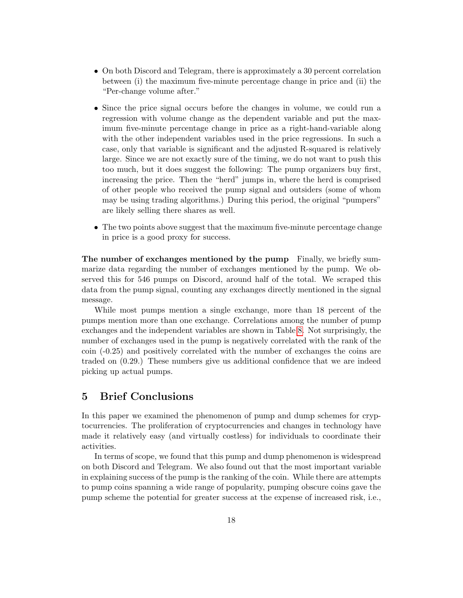- On both Discord and Telegram, there is approximately a 30 percent correlation between (i) the maximum five-minute percentage change in price and (ii) the "Per-change volume after."
- Since the price signal occurs before the changes in volume, we could run a regression with volume change as the dependent variable and put the maximum five-minute percentage change in price as a right-hand-variable along with the other independent variables used in the price regressions. In such a case, only that variable is significant and the adjusted R-squared is relatively large. Since we are not exactly sure of the timing, we do not want to push this too much, but it does suggest the following: The pump organizers buy first, increasing the price. Then the "herd" jumps in, where the herd is comprised of other people who received the pump signal and outsiders (some of whom may be using trading algorithms.) During this period, the original "pumpers" are likely selling there shares as well.
- The two points above suggest that the maximum five-minute percentage change in price is a good proxy for success.

The number of exchanges mentioned by the pump Finally, we briefly summarize data regarding the number of exchanges mentioned by the pump. We observed this for 546 pumps on Discord, around half of the total. We scraped this data from the pump signal, counting any exchanges directly mentioned in the signal message.

While most pumps mention a single exchange, more than 18 percent of the pumps mention more than one exchange. Correlations among the number of pump exchanges and the independent variables are shown in Table [8.](#page-24-0) Not surprisingly, the number of exchanges used in the pump is negatively correlated with the rank of the coin (-0.25) and positively correlated with the number of exchanges the coins are traded on (0.29.) These numbers give us additional confidence that we are indeed picking up actual pumps.

## <span id="page-18-0"></span>5 Brief Conclusions

In this paper we examined the phenomenon of pump and dump schemes for cryptocurrencies. The proliferation of cryptocurrencies and changes in technology have made it relatively easy (and virtually costless) for individuals to coordinate their activities.

In terms of scope, we found that this pump and dump phenomenon is widespread on both Discord and Telegram. We also found out that the most important variable in explaining success of the pump is the ranking of the coin. While there are attempts to pump coins spanning a wide range of popularity, pumping obscure coins gave the pump scheme the potential for greater success at the expense of increased risk, i.e.,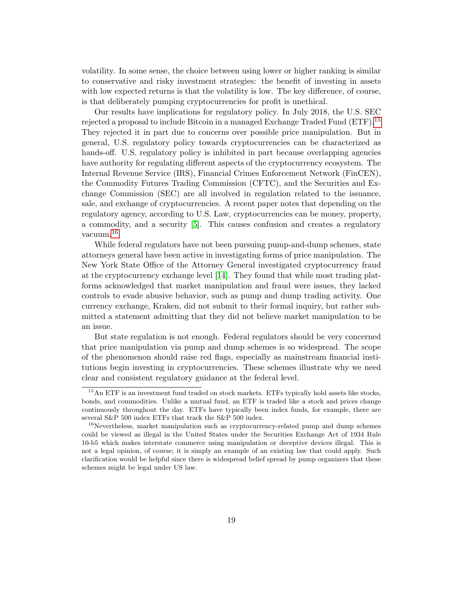volatility. In some sense, the choice between using lower or higher ranking is similar to conservative and risky investment strategies: the benefit of investing in assets with low expected returns is that the volatility is low. The key difference, of course, is that deliberately pumping cryptocurrencies for profit is unethical.

Our results have implications for regulatory policy. In July 2018, the U.S. SEC rejected a proposal to include Bitcoin in a managed Exchange Traded Fund  $(ETF).<sup>15</sup>$  $(ETF).<sup>15</sup>$  $(ETF).<sup>15</sup>$ They rejected it in part due to concerns over possible price manipulation. But in general, U.S. regulatory policy towards cryptocurrencies can be characterized as hands-off. U.S. regulatory policy is inhibited in part because overlapping agencies have authority for regulating different aspects of the cryptocurrency ecosystem. The Internal Revenue Service (IRS), Financial Crimes Enforcement Network (FinCEN), the Commodity Futures Trading Commission (CFTC), and the Securities and Exchange Commission (SEC) are all involved in regulation related to the issuance, sale, and exchange of cryptocurrencies. A recent paper notes that depending on the regulatory agency, according to U.S. Law, cryptocurrencies can be money, property, a commodity, and a security [\[5\]](#page-20-8). This causes confusion and creates a regulatory vacuum.[16](#page-19-1)

While federal regulators have not been pursuing pump-and-dump schemes, state attorneys general have been active in investigating forms of price manipulation. The New York State Office of the Attorney General investigated cryptocurrency fraud at the cryptocurrency exchange level [\[14\]](#page-21-9). They found that while most trading platforms acknowledged that market manipulation and fraud were issues, they lacked controls to evade abusive behavior, such as pump and dump trading activity. One currency exchange, Kraken, did not submit to their formal inquiry, but rather submitted a statement admitting that they did not believe market manipulation to be an issue.

But state regulation is not enough. Federal regulators should be very concerned that price manipulation via pump and dump schemes is so widespread. The scope of the phenomenon should raise red flags, especially as mainstream financial institutions begin investing in cryptocurrencies. These schemes illustrate why we need clear and consistent regulatory guidance at the federal level.

<span id="page-19-0"></span><sup>&</sup>lt;sup>15</sup>An ETF is an investment fund traded on stock markets. ETFs typically hold assets like stocks, bonds, and commodities. Unlike a mutual fund, an ETF is traded like a stock and prices change continuously throughout the day. ETFs have typically been index funds, for example, there are several S&P 500 index ETFs that track the S&P 500 index.

<span id="page-19-1"></span><sup>&</sup>lt;sup>16</sup>Nevertheless, market manipulation such as cryptocurrency-related pump and dump schemes could be viewed as illegal in the United States under the Securities Exchange Act of 1934 Rule 10-b5 which makes interstate commerce using manipulation or deceptive devices illegal. This is not a legal opinion, of course; it is simply an example of an existing law that could apply. Such clarification would be helpful since there is widespread belief spread by pump organizers that these schemes might be legal under US law.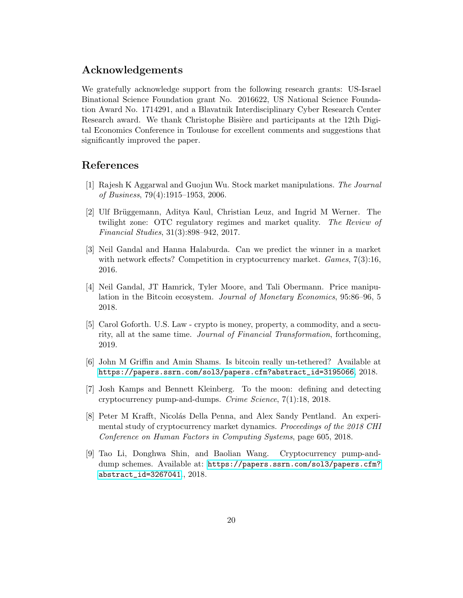## Acknowledgements

We gratefully acknowledge support from the following research grants: US-Israel Binational Science Foundation grant No. 2016622, US National Science Foundation Award No. 1714291, and a Blavatnik Interdisciplinary Cyber Research Center Research award. We thank Christophe Bisière and participants at the 12th Digital Economics Conference in Toulouse for excellent comments and suggestions that significantly improved the paper.

## References

- <span id="page-20-1"></span>[1] Rajesh K Aggarwal and Guojun Wu. Stock market manipulations. The Journal of Business, 79(4):1915–1953, 2006.
- <span id="page-20-2"></span>[2] Ulf Brüggemann, Aditya Kaul, Christian Leuz, and Ingrid M Werner. The twilight zone: OTC regulatory regimes and market quality. The Review of Financial Studies, 31(3):898–942, 2017.
- <span id="page-20-0"></span>[3] Neil Gandal and Hanna Halaburda. Can we predict the winner in a market with network effects? Competition in cryptocurrency market. *Games*, 7(3):16, 2016.
- <span id="page-20-4"></span>[4] Neil Gandal, JT Hamrick, Tyler Moore, and Tali Obermann. Price manipulation in the Bitcoin ecosystem. Journal of Monetary Economics, 95:86–96, 5 2018.
- <span id="page-20-8"></span>[5] Carol Goforth. U.S. Law - crypto is money, property, a commodity, and a security, all at the same time. Journal of Financial Transformation, forthcoming, 2019.
- <span id="page-20-5"></span>[6] John M Griffin and Amin Shams. Is bitcoin really un-tethered? Available at [https://papers.ssrn.com/sol3/papers.cfm?abstract\\_id=3195066](https://papers.ssrn.com/sol3/papers.cfm?abstract_id=3195066), 2018.
- <span id="page-20-6"></span>[7] Josh Kamps and Bennett Kleinberg. To the moon: defining and detecting cryptocurrency pump-and-dumps. Crime Science, 7(1):18, 2018.
- <span id="page-20-3"></span>[8] Peter M Krafft, Nicolás Della Penna, and Alex Sandy Pentland. An experimental study of cryptocurrency market dynamics. Proceedings of the 2018 CHI Conference on Human Factors in Computing Systems, page 605, 2018.
- <span id="page-20-7"></span>[9] Tao Li, Donghwa Shin, and Baolian Wang. Cryptocurrency pump-anddump schemes. Available at: [https://papers.ssrn.com/sol3/papers.cfm?](https://papers.ssrn.com/sol3/papers.cfm?abstract_id=3267041) [abstract\\_id=3267041](https://papers.ssrn.com/sol3/papers.cfm?abstract_id=3267041)., 2018.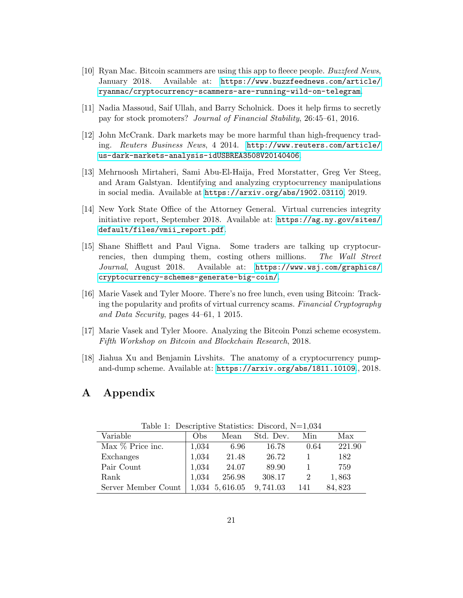- <span id="page-21-6"></span>[10] Ryan Mac. Bitcoin scammers are using this app to fleece people. Buzzfeed News, January 2018. Available at: [https://www.buzzfeednews.com/article/](https://www.buzzfeednews.com/article/ryanmac/cryptocurrency-scammers-are-running-wild-on-telegram) [ryanmac/cryptocurrency-scammers-are-running-wild-on-telegram](https://www.buzzfeednews.com/article/ryanmac/cryptocurrency-scammers-are-running-wild-on-telegram).
- <span id="page-21-1"></span>[11] Nadia Massoud, Saif Ullah, and Barry Scholnick. Does it help firms to secretly pay for stock promoters? Journal of Financial Stability, 26:45–61, 2016.
- <span id="page-21-0"></span>[12] John McCrank. Dark markets may be more harmful than high-frequency trading. Reuters Business News, 4 2014. [http://www.reuters.com/article/](http://www.reuters.com/article/us-dark-markets-analysis-idUSBREA3508V20140406) [us-dark-markets-analysis-idUSBREA3508V20140406](http://www.reuters.com/article/us-dark-markets-analysis-idUSBREA3508V20140406).
- <span id="page-21-4"></span>[13] Mehrnoosh Mirtaheri, Sami Abu-El-Haija, Fred Morstatter, Greg Ver Steeg, and Aram Galstyan. Identifying and analyzing cryptocurrency manipulations in social media. Available at <https://arxiv.org/abs/1902.03110>, 2019.
- <span id="page-21-9"></span>[14] New York State Office of the Attorney General. Virtual currencies integrity initiative report, September 2018. Available at: [https://ag.ny.gov/sites/](https://ag.ny.gov/sites/default/files/vmii_report.pdf) [default/files/vmii\\_report.pdf](https://ag.ny.gov/sites/default/files/vmii_report.pdf).
- <span id="page-21-7"></span>[15] Shane Shifflett and Paul Vigna. Some traders are talking up cryptocurrencies, then dumping them, costing others millions. The Wall Street Journal, August 2018. Available at: [https://www.wsj.com/graphics/](https://www.wsj.com/graphics/cryptocurrency-schemes-generate-big-coin/) [cryptocurrency-schemes-generate-big-coin/](https://www.wsj.com/graphics/cryptocurrency-schemes-generate-big-coin/).
- <span id="page-21-2"></span>[16] Marie Vasek and Tyler Moore. There's no free lunch, even using Bitcoin: Tracking the popularity and profits of virtual currency scams. Financial Cryptography and Data Security, pages 44–61, 1 2015.
- <span id="page-21-3"></span>[17] Marie Vasek and Tyler Moore. Analyzing the Bitcoin Ponzi scheme ecosystem. Fifth Workshop on Bitcoin and Blockchain Research, 2018.
- <span id="page-21-5"></span>[18] Jiahua Xu and Benjamin Livshits. The anatomy of a cryptocurrency pumpand-dump scheme. Available at: <https://arxiv.org/abs/1811.10109>., 2018.

## A Appendix

<span id="page-21-8"></span>

| $\texttt{r}$ and $\texttt{r}$ . Depending December 2.1 Depending $\texttt{r}$ |       |                |           |      |        |
|-------------------------------------------------------------------------------|-------|----------------|-----------|------|--------|
| Variable                                                                      | Obs   | Mean           | Std. Dev. | Min  | Max    |
| Max $\%$ Price inc.                                                           | 1,034 | 6.96           | 16.78     | 0.64 | 221.90 |
| Exchanges                                                                     | 1,034 | 21.48          | 26.72     |      | 182    |
| Pair Count                                                                    | 1,034 | 24.07          | 89.90     |      | 759    |
| Rank                                                                          | 1,034 | 256.98         | 308.17    |      | 1,863  |
| Server Member Count                                                           |       | 1,034 5,616.05 | 9,741.03  | 141  | 84,823 |

Table 1: Descriptive Statistics: Discord,  $N=1,034$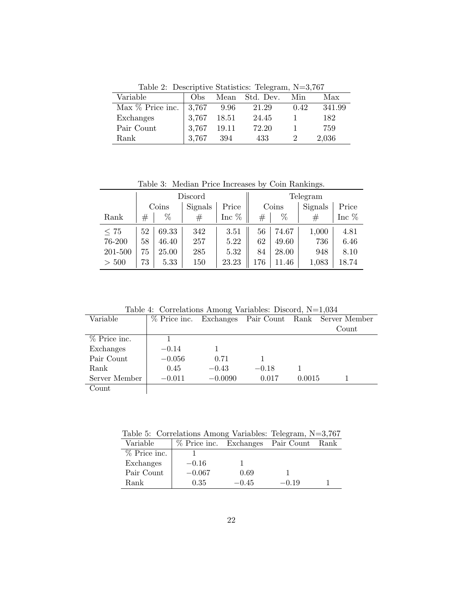Table 2: Descriptive Statistics: Telegram, N=3,767

<span id="page-22-0"></span>

| Variable           | Obs   | Mean  | Std. Dev. | Min  | Max    |
|--------------------|-------|-------|-----------|------|--------|
| Max $%$ Price inc. | 3,767 | 9.96  | 21.29     | 0.42 | 341.99 |
| Exchanges          | 3,767 | 18.51 | 24.45     |      | 182    |
| Pair Count         | 3,767 | 19.11 | 72.20     |      | 759    |
| Rank               | 3.767 | 394   | 433       |      | 2,036  |

Table 3: Median Price Increases by Coin Rankings.

<span id="page-22-1"></span>

|           | Discord                   |       |       | Telegram |         |       |         |         |
|-----------|---------------------------|-------|-------|----------|---------|-------|---------|---------|
|           | Signals<br>Price<br>Coins |       | Coins |          | Signals | Price |         |         |
| Rank      | $^{\#}$                   | %     | #     | Inc $\%$ | $^{\#}$ | %     | $^{\#}$ | Inc $%$ |
| $\leq 75$ | 52                        | 69.33 | 342   | 3.51     | 56      | 74.67 | 1,000   | 4.81    |
| 76-200    | 58                        | 46.40 | 257   | 5.22     | 62      | 49.60 | 736     | 6.46    |
| 201-500   | 75                        | 25.00 | 285   | 5.32     | 84      | 28.00 | 948     | 8.10    |
| > 500     | 73                        | 5.33  | 150   | 23.23    | 176     | .46   | 1,083   | 18.74   |

Table 4: Correlations Among Variables: Discord, N=1,034

<span id="page-22-2"></span>

| Variable      | $%$ Price inc. |           |         |        | Exchanges Pair Count Rank Server Member |
|---------------|----------------|-----------|---------|--------|-----------------------------------------|
|               |                |           |         |        | Count                                   |
| % Price inc.  |                |           |         |        |                                         |
| Exchanges     | $-0.14$        |           |         |        |                                         |
| Pair Count    | $-0.056$       | 0.71      |         |        |                                         |
| Rank          | 0.45           | $-0.43$   | $-0.18$ |        |                                         |
| Server Member | $-0.011$       | $-0.0090$ | 0.017   | 0.0015 |                                         |
| Count         |                |           |         |        |                                         |
|               |                |           |         |        |                                         |

<span id="page-22-3"></span>Table 5: Correlations Among Variables: Telegram, N=3,767

| Variable     | % Price inc. Exchanges Pair Count |         |         | Rank |
|--------------|-----------------------------------|---------|---------|------|
| % Price inc. |                                   |         |         |      |
| Exchanges    | $-0.16$                           |         |         |      |
| Pair Count   | $-0.067$                          | 0.69    |         |      |
| Rank         | 0.35                              | $-0.45$ | $-0.19$ |      |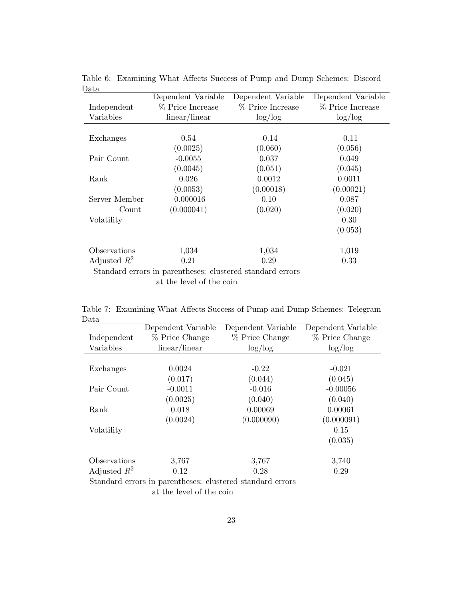| ⊃ພ∪ພ           | Dependent Variable | Dependent Variable | Dependent Variable |
|----------------|--------------------|--------------------|--------------------|
| Independent    | % Price Increase   | % Price Increase   | % Price Increase   |
| Variables      | linear/linear      | log/log            | log/log            |
|                |                    |                    |                    |
| Exchanges      | 0.54               | $-0.14$            | $-0.11$            |
|                | (0.0025)           | (0.060)            | (0.056)            |
| Pair Count     | $-0.0055$          | 0.037              | 0.049              |
|                | (0.0045)           | (0.051)            | (0.045)            |
| Rank           | 0.026              | 0.0012             | 0.0011             |
|                | (0.0053)           | (0.00018)          | (0.00021)          |
| Server Member  | $-0.000016$        | 0.10               | 0.087              |
| Count          | (0.000041)         | (0.020)            | (0.020)            |
| Volatility     |                    |                    | 0.30               |
|                |                    |                    | (0.053)            |
|                |                    |                    |                    |
| Observations   | 1,034              | 1,034              | 1,019              |
| Adjusted $R^2$ | 0.21               | 0.29               | 0.33               |

<span id="page-23-0"></span>Table 6: Examining What Affects Success of Pump and Dump Schemes: Discord Data

Standard errors in parentheses: clustered standard errors at the level of the coin

<span id="page-23-1"></span>Table 7: Examining What Affects Success of Pump and Dump Schemes: Telegram Data

|                | Dependent Variable | Dependent Variable | Dependent Variable |
|----------------|--------------------|--------------------|--------------------|
| Independent    | % Price Change     | % Price Change     | % Price Change     |
| Variables      | linear/linear      | log/log            | log/log            |
|                |                    |                    |                    |
| Exchanges      | 0.0024             | $-0.22$            | $-0.021$           |
|                | (0.017)            | (0.044)            | (0.045)            |
| Pair Count     | $-0.0011$          | $-0.016$           | $-0.00056$         |
|                | (0.0025)           | (0.040)            | (0.040)            |
| Rank           | 0.018              | 0.00069            | 0.00061            |
|                | (0.0024)           | (0.000090)         | (0.000091)         |
| Volatility     |                    |                    | 0.15               |
|                |                    |                    | (0.035)            |
|                |                    |                    |                    |
| Observations   | 3,767              | 3,767              | 3,740              |
| Adjusted $R^2$ | 0.12               | 0.28               | 0.29               |

Standard errors in parentheses: clustered standard errors

at the level of the coin